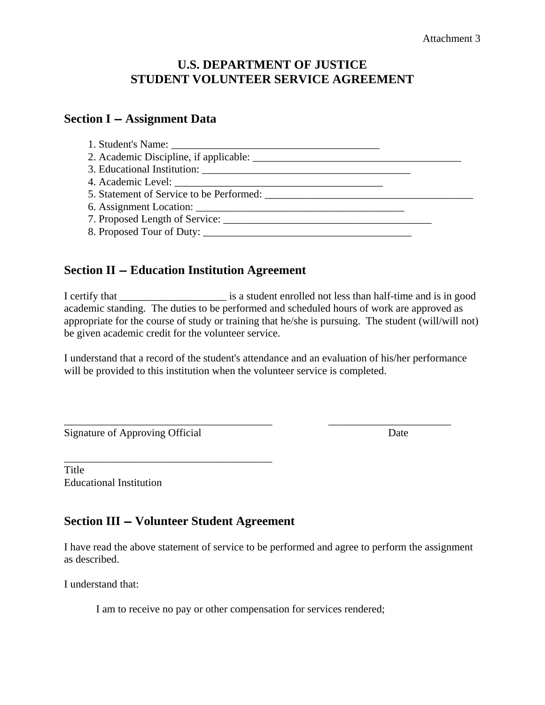### **U.S. DEPARTMENT OF JUSTICE STUDENT VOLUNTEER SERVICE AGREEMENT**

#### **Section I – Assignment Data**

| 5. Statement of Service to be Performed: |  |
|------------------------------------------|--|
|                                          |  |
|                                          |  |
| 8. Proposed Tour of Duty:                |  |

#### **Section II – Education Institution Agreement**

I certify that \_\_\_\_\_\_\_\_\_\_\_\_\_\_\_\_\_\_\_\_ is a student enrolled not less than half-time and is in good academic standing. The duties to be performed and scheduled hours of work are approved as appropriate for the course of study or training that he/she is pursuing. The student (will/will not) be given academic credit for the volunteer service.

I understand that a record of the student's attendance and an evaluation of his/her performance will be provided to this institution when the volunteer service is completed.

\_\_\_\_\_\_\_\_\_\_\_\_\_\_\_\_\_\_\_\_\_\_\_\_\_\_\_\_\_\_\_\_\_\_\_\_\_\_\_ \_\_\_\_\_\_\_\_\_\_\_\_\_\_\_\_\_\_\_\_\_\_\_

Signature of Approving Official Date

Title Educational Institution

## **Section III – Volunteer Student Agreement**

\_\_\_\_\_\_\_\_\_\_\_\_\_\_\_\_\_\_\_\_\_\_\_\_\_\_\_\_\_\_\_\_\_\_\_\_\_\_\_

I have read the above statement of service to be performed and agree to perform the assignment as described.

I understand that:

I am to receive no pay or other compensation for services rendered;